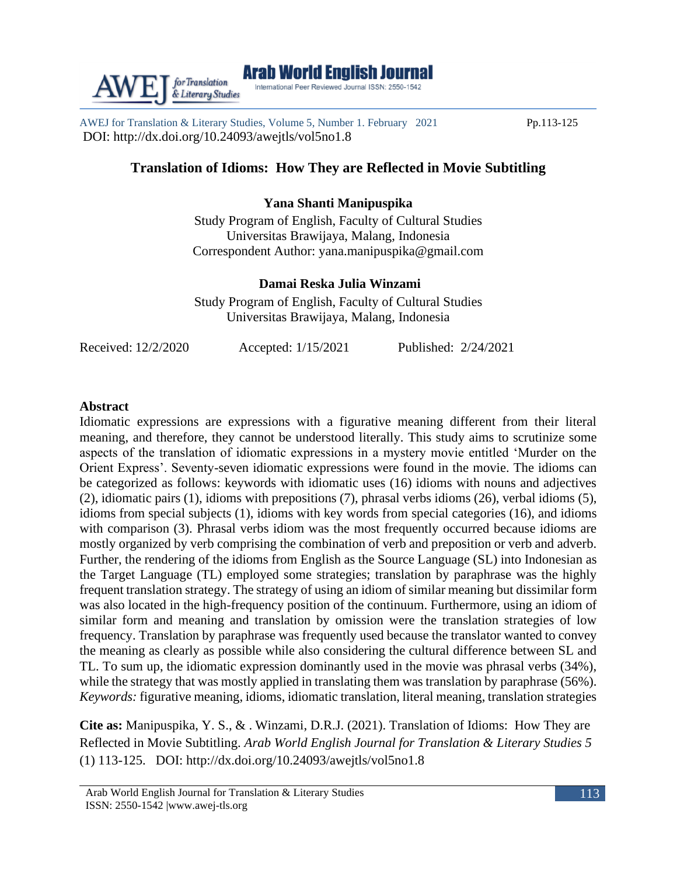AWEJ for Translation & Literary Studies, Volume 5, Number 1. February 2021 Pp.113-125 DOI: http://dx.doi.org/10.24093/awejtls/vol5no1.8

# **Translation of Idioms: How They are Reflected in Movie Subtitling**

## **Yana Shanti Manipuspika**

Study Program of English, Faculty of Cultural Studies Universitas Brawijaya, Malang, Indonesia Correspondent Author: yana.manipuspika@gmail.com

## **Damai Reska Julia Winzami**

Study Program of English, Faculty of Cultural Studies Universitas Brawijaya, Malang, Indonesia

Received: 12/2/2020 Accepted: 1/15/2021 Published: 2/24/2021

#### **Abstract**

Idiomatic expressions are expressions with a figurative meaning different from their literal meaning, and therefore, they cannot be understood literally. This study aims to scrutinize some aspects of the translation of idiomatic expressions in a mystery movie entitled 'Murder on the Orient Express'. Seventy-seven idiomatic expressions were found in the movie. The idioms can be categorized as follows: keywords with idiomatic uses (16) idioms with nouns and adjectives (2), idiomatic pairs (1), idioms with prepositions (7), phrasal verbs idioms (26), verbal idioms (5), idioms from special subjects (1), idioms with key words from special categories (16), and idioms with comparison (3). Phrasal verbs idiom was the most frequently occurred because idioms are mostly organized by verb comprising the combination of verb and preposition or verb and adverb. Further, the rendering of the idioms from English as the Source Language (SL) into Indonesian as the Target Language (TL) employed some strategies; translation by paraphrase was the highly frequent translation strategy. The strategy of using an idiom of similar meaning but dissimilar form was also located in the high-frequency position of the continuum. Furthermore, using an idiom of similar form and meaning and translation by omission were the translation strategies of low frequency. Translation by paraphrase was frequently used because the translator wanted to convey the meaning as clearly as possible while also considering the cultural difference between SL and TL. To sum up, the idiomatic expression dominantly used in the movie was phrasal verbs (34%), while the strategy that was mostly applied in translating them was translation by paraphrase (56%). *Keywords:* figurative meaning, idioms, idiomatic translation, literal meaning, translation strategies

**Cite as:** Manipuspika, Y. S., & . Winzami, D.R.J. (2021). Translation of Idioms: How They are Reflected in Movie Subtitling. *Arab World English Journal for Translation & Literary Studies 5* (1) 113-125. DOI: http://dx.doi.org/10.24093/awejtls/vol5no1.8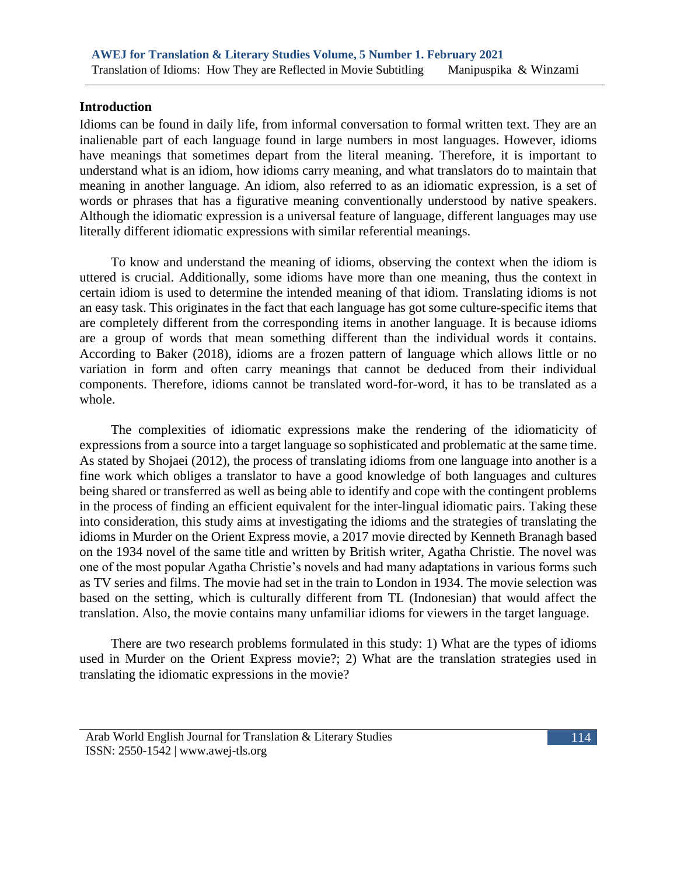#### **Introduction**

Idioms can be found in daily life, from informal conversation to formal written text. They are an inalienable part of each language found in large numbers in most languages. However, idioms have meanings that sometimes depart from the literal meaning. Therefore, it is important to understand what is an idiom, how idioms carry meaning, and what translators do to maintain that meaning in another language. An idiom, also referred to as an idiomatic expression, is a set of words or phrases that has a figurative meaning conventionally understood by native speakers. Although the idiomatic expression is a universal feature of language, different languages may use literally different idiomatic expressions with similar referential meanings.

To know and understand the meaning of idioms, observing the context when the idiom is uttered is crucial. Additionally, some idioms have more than one meaning, thus the context in certain idiom is used to determine the intended meaning of that idiom. Translating idioms is not an easy task. This originates in the fact that each language has got some culture-specific items that are completely different from the corresponding items in another language. It is because idioms are a group of words that mean something different than the individual words it contains. According to Baker (2018), idioms are a frozen pattern of language which allows little or no variation in form and often carry meanings that cannot be deduced from their individual components. Therefore, idioms cannot be translated word-for-word, it has to be translated as a whole.

The complexities of idiomatic expressions make the rendering of the idiomaticity of expressions from a source into a target language so sophisticated and problematic at the same time. As stated by Shojaei (2012), the process of translating idioms from one language into another is a fine work which obliges a translator to have a good knowledge of both languages and cultures being shared or transferred as well as being able to identify and cope with the contingent problems in the process of finding an efficient equivalent for the inter-lingual idiomatic pairs. Taking these into consideration, this study aims at investigating the idioms and the strategies of translating the idioms in Murder on the Orient Express movie, a 2017 movie directed by Kenneth Branagh based on the 1934 novel of the same title and written by British writer, Agatha Christie. The novel was one of the most popular Agatha Christie's novels and had many adaptations in various forms such as TV series and films. The movie had set in the train to London in 1934. The movie selection was based on the setting, which is culturally different from TL (Indonesian) that would affect the translation. Also, the movie contains many unfamiliar idioms for viewers in the target language.

There are two research problems formulated in this study: 1) What are the types of idioms used in Murder on the Orient Express movie?; 2) What are the translation strategies used in translating the idiomatic expressions in the movie?



Arab World English Journal for Translation & Literary Studies ISSN: 2550-1542 | [www.awej-tls.org](http://www.awej-tls.org/)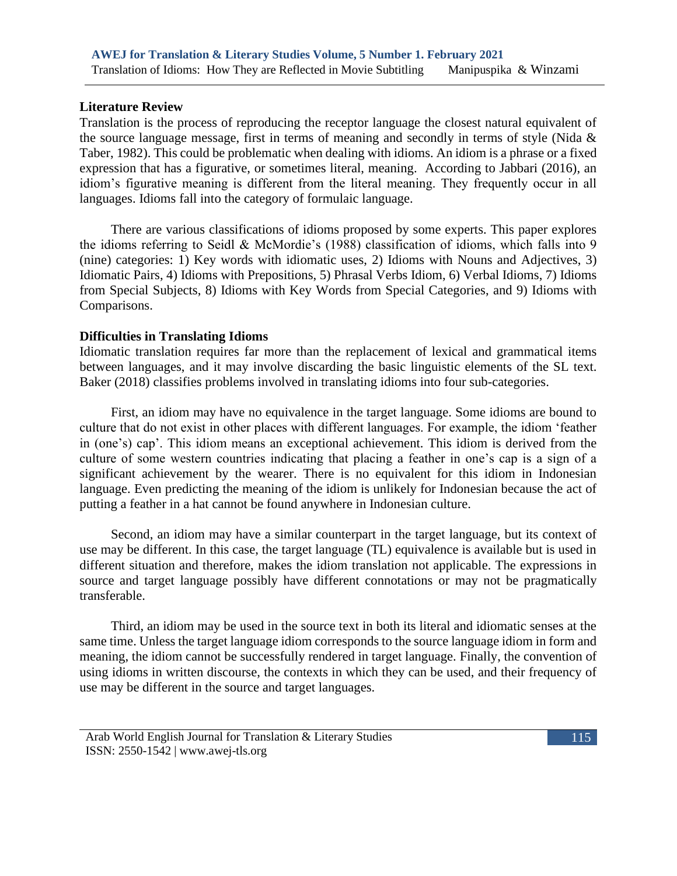## **Literature Review**

Translation is the process of reproducing the receptor language the closest natural equivalent of the source language message, first in terms of meaning and secondly in terms of style (Nida  $\&$ Taber, 1982). This could be problematic when dealing with idioms. An idiom is a phrase or a fixed expression that has a figurative, or sometimes literal, meaning. According to Jabbari (2016), an idiom's figurative meaning is different from the literal meaning. They frequently occur in all languages. Idioms fall into the category of formulaic language.

There are various classifications of idioms proposed by some experts. This paper explores the idioms referring to Seidl & McMordie's (1988) classification of idioms, which falls into 9 (nine) categories: 1) Key words with idiomatic uses, 2) Idioms with Nouns and Adjectives, 3) Idiomatic Pairs, 4) Idioms with Prepositions, 5) Phrasal Verbs Idiom, 6) Verbal Idioms, 7) Idioms from Special Subjects, 8) Idioms with Key Words from Special Categories, and 9) Idioms with Comparisons.

## **Difficulties in Translating Idioms**

Idiomatic translation requires far more than the replacement of lexical and grammatical items between languages, and it may involve discarding the basic linguistic elements of the SL text. Baker (2018) classifies problems involved in translating idioms into four sub-categories.

First, an idiom may have no equivalence in the target language. Some idioms are bound to culture that do not exist in other places with different languages. For example, the idiom 'feather in (one's) cap'. This idiom means an exceptional achievement. This idiom is derived from the culture of some western countries indicating that placing a feather in one's cap is a sign of a significant achievement by the wearer. There is no equivalent for this idiom in Indonesian language. Even predicting the meaning of the idiom is unlikely for Indonesian because the act of putting a feather in a hat cannot be found anywhere in Indonesian culture.

Second, an idiom may have a similar counterpart in the target language, but its context of use may be different. In this case, the target language (TL) equivalence is available but is used in different situation and therefore, makes the idiom translation not applicable. The expressions in source and target language possibly have different connotations or may not be pragmatically transferable.

Third, an idiom may be used in the source text in both its literal and idiomatic senses at the same time. Unless the target language idiom corresponds to the source language idiom in form and meaning, the idiom cannot be successfully rendered in target language. Finally, the convention of using idioms in written discourse, the contexts in which they can be used, and their frequency of use may be different in the source and target languages.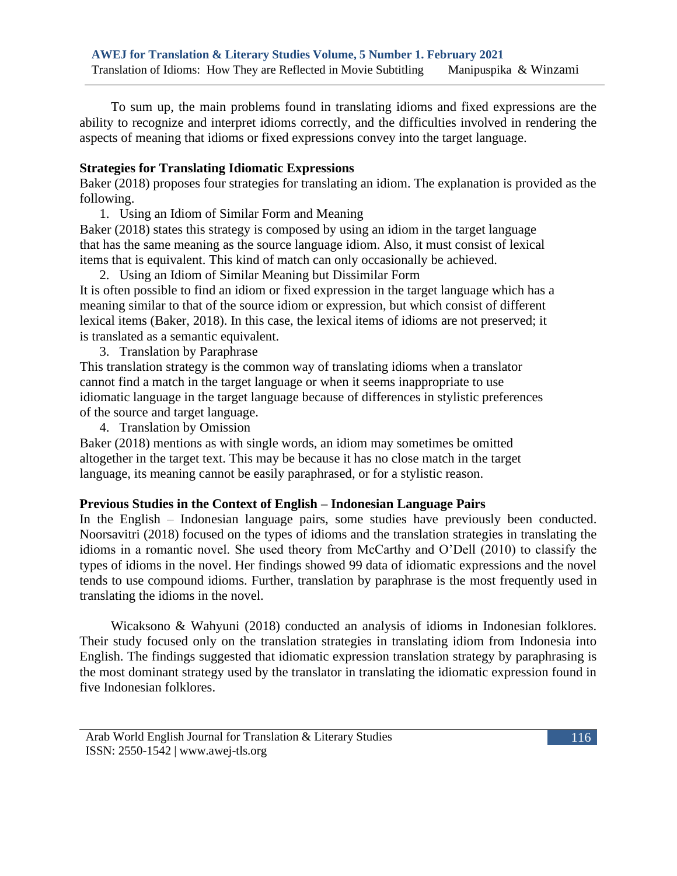To sum up, the main problems found in translating idioms and fixed expressions are the ability to recognize and interpret idioms correctly, and the difficulties involved in rendering the aspects of meaning that idioms or fixed expressions convey into the target language.

## **Strategies for Translating Idiomatic Expressions**

Baker (2018) proposes four strategies for translating an idiom. The explanation is provided as the following.

1. Using an Idiom of Similar Form and Meaning

Baker (2018) states this strategy is composed by using an idiom in the target language that has the same meaning as the source language idiom. Also, it must consist of lexical items that is equivalent. This kind of match can only occasionally be achieved.

- 2. Using an Idiom of Similar Meaning but Dissimilar Form It is often possible to find an idiom or fixed expression in the target language which has a meaning similar to that of the source idiom or expression, but which consist of different lexical items (Baker, 2018). In this case, the lexical items of idioms are not preserved; it is translated as a semantic equivalent.
	- 3. Translation by Paraphrase

This translation strategy is the common way of translating idioms when a translator cannot find a match in the target language or when it seems inappropriate to use idiomatic language in the target language because of differences in stylistic preferences of the source and target language.

4. Translation by Omission

Baker (2018) mentions as with single words, an idiom may sometimes be omitted altogether in the target text. This may be because it has no close match in the target language, its meaning cannot be easily paraphrased, or for a stylistic reason.

#### **Previous Studies in the Context of English – Indonesian Language Pairs**

In the English – Indonesian language pairs, some studies have previously been conducted. Noorsavitri (2018) focused on the types of idioms and the translation strategies in translating the idioms in a romantic novel. She used theory from McCarthy and O'Dell (2010) to classify the types of idioms in the novel. Her findings showed 99 data of idiomatic expressions and the novel tends to use compound idioms. Further, translation by paraphrase is the most frequently used in translating the idioms in the novel.

Wicaksono & Wahyuni (2018) conducted an analysis of idioms in Indonesian folklores. Their study focused only on the translation strategies in translating idiom from Indonesia into English. The findings suggested that idiomatic expression translation strategy by paraphrasing is the most dominant strategy used by the translator in translating the idiomatic expression found in five Indonesian folklores.

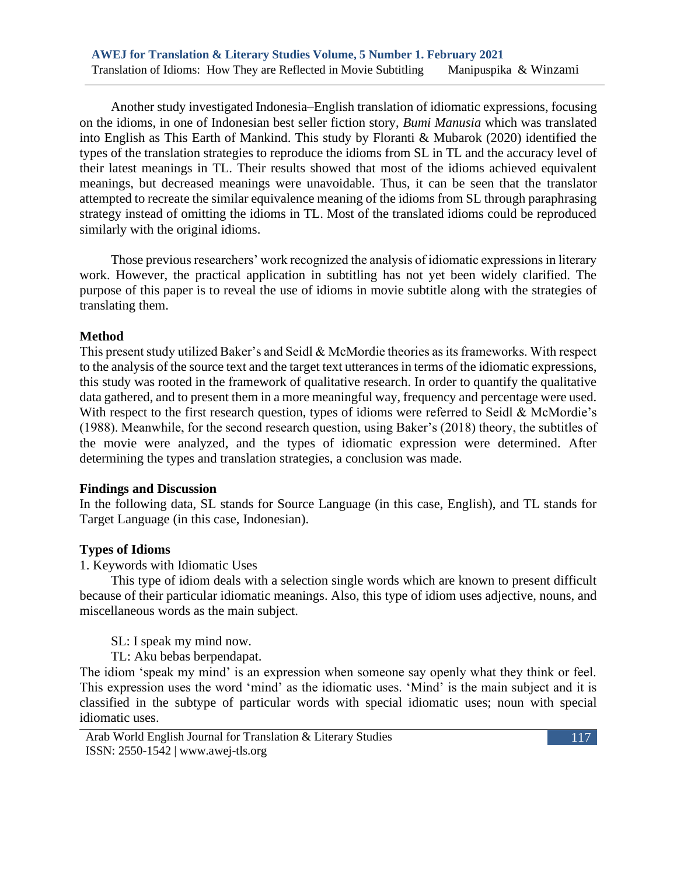Another study investigated Indonesia–English translation of idiomatic expressions, focusing on the idioms, in one of Indonesian best seller fiction story, *Bumi Manusia* which was translated into English as This Earth of Mankind. This study by Floranti & Mubarok (2020) identified the types of the translation strategies to reproduce the idioms from SL in TL and the accuracy level of their latest meanings in TL. Their results showed that most of the idioms achieved equivalent meanings, but decreased meanings were unavoidable. Thus, it can be seen that the translator attempted to recreate the similar equivalence meaning of the idioms from SL through paraphrasing strategy instead of omitting the idioms in TL. Most of the translated idioms could be reproduced similarly with the original idioms.

Those previous researchers' work recognized the analysis of idiomatic expressions in literary work. However, the practical application in subtitling has not yet been widely clarified. The purpose of this paper is to reveal the use of idioms in movie subtitle along with the strategies of translating them.

#### **Method**

This present study utilized Baker's and Seidl & McMordie theories as its frameworks. With respect to the analysis of the source text and the target text utterances in terms of the idiomatic expressions, this study was rooted in the framework of qualitative research. In order to quantify the qualitative data gathered, and to present them in a more meaningful way, frequency and percentage were used. With respect to the first research question, types of idioms were referred to Seidl & McMordie's (1988). Meanwhile, for the second research question, using Baker's (2018) theory, the subtitles of the movie were analyzed, and the types of idiomatic expression were determined. After determining the types and translation strategies, a conclusion was made.

#### **Findings and Discussion**

In the following data, SL stands for Source Language (in this case, English), and TL stands for Target Language (in this case, Indonesian).

## **Types of Idioms**

1. Keywords with Idiomatic Uses

This type of idiom deals with a selection single words which are known to present difficult because of their particular idiomatic meanings. Also, this type of idiom uses adjective, nouns, and miscellaneous words as the main subject.

SL: I speak my mind now.

TL: Aku bebas berpendapat.

The idiom 'speak my mind' is an expression when someone say openly what they think or feel. This expression uses the word 'mind' as the idiomatic uses. 'Mind' is the main subject and it is classified in the subtype of particular words with special idiomatic uses; noun with special idiomatic uses.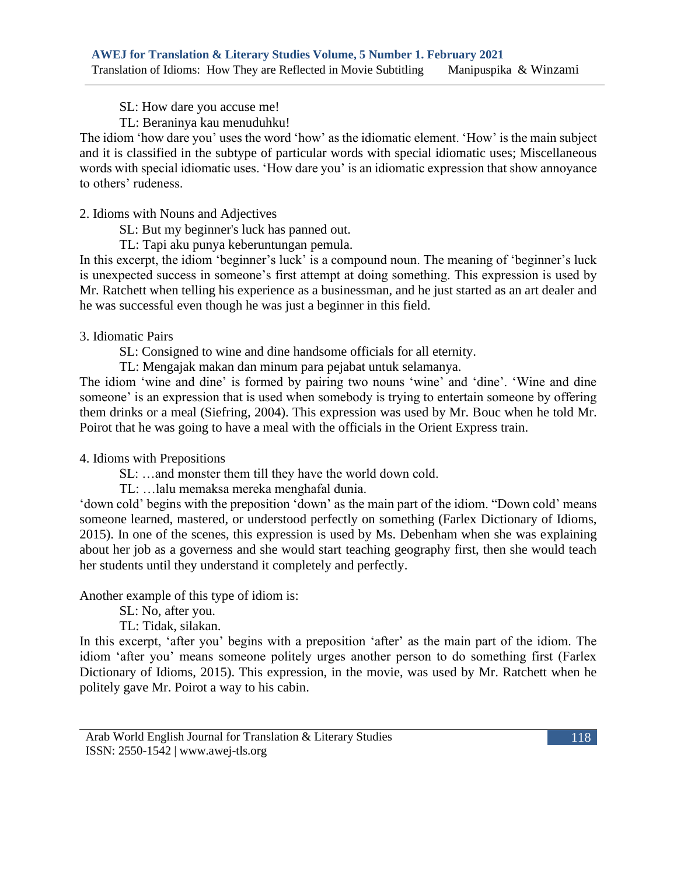SL: How dare you accuse me!

TL: Beraninya kau menuduhku!

The idiom 'how dare you' uses the word 'how' as the idiomatic element. 'How' is the main subject and it is classified in the subtype of particular words with special idiomatic uses; Miscellaneous words with special idiomatic uses. 'How dare you' is an idiomatic expression that show annoyance to others' rudeness.

2. Idioms with Nouns and Adjectives

SL: But my beginner's luck has panned out.

TL: Tapi aku punya keberuntungan pemula.

In this excerpt, the idiom 'beginner's luck' is a compound noun. The meaning of 'beginner's luck is unexpected success in someone's first attempt at doing something. This expression is used by Mr. Ratchett when telling his experience as a businessman, and he just started as an art dealer and he was successful even though he was just a beginner in this field.

#### 3. Idiomatic Pairs

SL: Consigned to wine and dine handsome officials for all eternity.

TL: Mengajak makan dan minum para pejabat untuk selamanya.

The idiom 'wine and dine' is formed by pairing two nouns 'wine' and 'dine'. 'Wine and dine someone' is an expression that is used when somebody is trying to entertain someone by offering them drinks or a meal (Siefring, 2004). This expression was used by Mr. Bouc when he told Mr. Poirot that he was going to have a meal with the officials in the Orient Express train.

#### 4. Idioms with Prepositions

SL: …and monster them till they have the world down cold.

TL: …lalu memaksa mereka menghafal dunia.

'down cold' begins with the preposition 'down' as the main part of the idiom. "Down cold' means someone learned, mastered, or understood perfectly on something (Farlex Dictionary of Idioms, 2015). In one of the scenes, this expression is used by Ms. Debenham when she was explaining about her job as a governess and she would start teaching geography first, then she would teach her students until they understand it completely and perfectly.

Another example of this type of idiom is:

SL: No, after you.

TL: Tidak, silakan.

In this excerpt, 'after you' begins with a preposition 'after' as the main part of the idiom. The idiom 'after you' means someone politely urges another person to do something first (Farlex Dictionary of Idioms, 2015). This expression, in the movie, was used by Mr. Ratchett when he politely gave Mr. Poirot a way to his cabin.

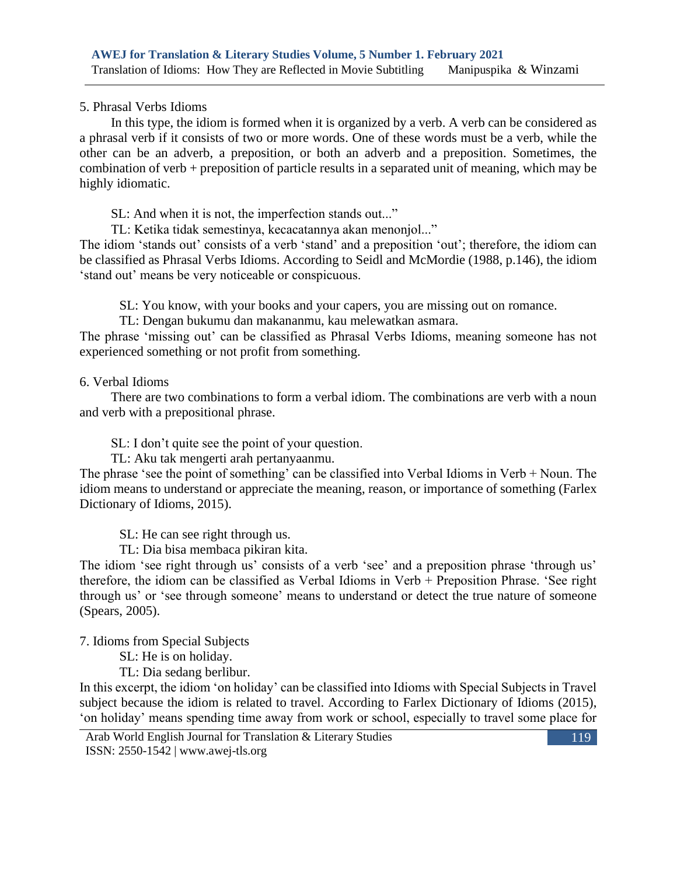5. Phrasal Verbs Idioms

In this type, the idiom is formed when it is organized by a verb. A verb can be considered as a phrasal verb if it consists of two or more words. One of these words must be a verb, while the other can be an adverb, a preposition, or both an adverb and a preposition. Sometimes, the combination of verb + preposition of particle results in a separated unit of meaning, which may be highly idiomatic.

SL: And when it is not, the imperfection stands out..."

TL: Ketika tidak semestinya, kecacatannya akan menonjol..."

The idiom 'stands out' consists of a verb 'stand' and a preposition 'out'; therefore, the idiom can be classified as Phrasal Verbs Idioms. According to Seidl and McMordie (1988, p.146), the idiom 'stand out' means be very noticeable or conspicuous.

SL: You know, with your books and your capers, you are missing out on romance.

TL: Dengan bukumu dan makananmu, kau melewatkan asmara.

The phrase 'missing out' can be classified as Phrasal Verbs Idioms, meaning someone has not experienced something or not profit from something.

## 6. Verbal Idioms

There are two combinations to form a verbal idiom. The combinations are verb with a noun and verb with a prepositional phrase.

SL: I don't quite see the point of your question.

TL: Aku tak mengerti arah pertanyaanmu.

The phrase 'see the point of something' can be classified into Verbal Idioms in Verb + Noun. The idiom means to understand or appreciate the meaning, reason, or importance of something (Farlex Dictionary of Idioms, 2015).

SL: He can see right through us.

TL: Dia bisa membaca pikiran kita.

The idiom 'see right through us' consists of a verb 'see' and a preposition phrase 'through us' therefore, the idiom can be classified as Verbal Idioms in Verb + Preposition Phrase. 'See right through us' or 'see through someone' means to understand or detect the true nature of someone (Spears, 2005).

7. Idioms from Special Subjects

SL: He is on holiday.

TL: Dia sedang berlibur.

In this excerpt, the idiom 'on holiday' can be classified into Idioms with Special Subjects in Travel subject because the idiom is related to travel. According to Farlex Dictionary of Idioms (2015), 'on holiday' means spending time away from work or school, especially to travel some place for

Arab World English Journal for Translation & Literary Studies ISSN: 2550-1542 | [www.awej-tls.org](http://www.awej-tls.org/)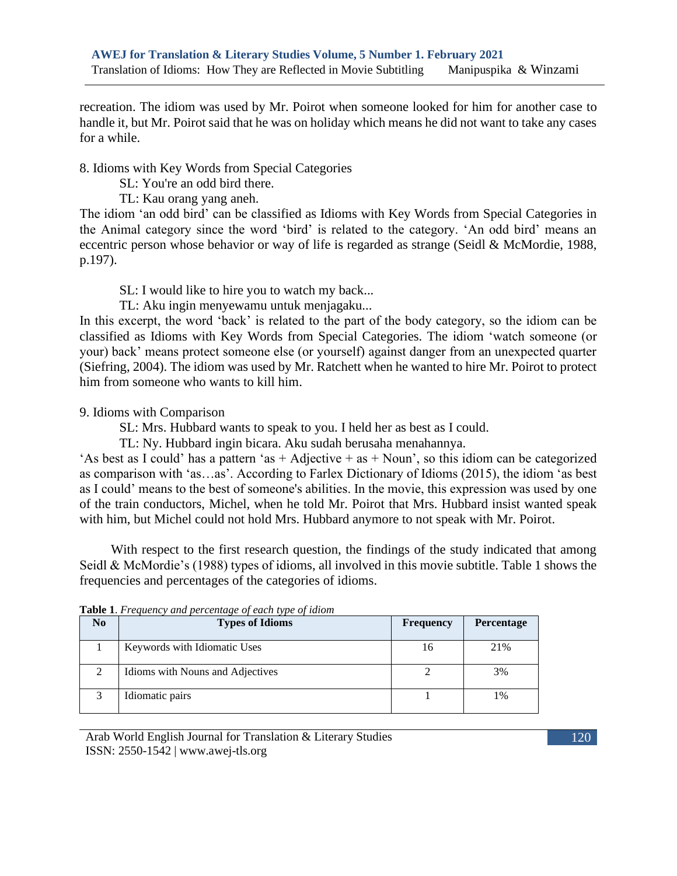recreation. The idiom was used by Mr. Poirot when someone looked for him for another case to handle it, but Mr. Poirot said that he was on holiday which means he did not want to take any cases for a while.

### 8. Idioms with Key Words from Special Categories

- SL: You're an odd bird there.
- TL: Kau orang yang aneh.

The idiom 'an odd bird' can be classified as Idioms with Key Words from Special Categories in the Animal category since the word 'bird' is related to the category. 'An odd bird' means an eccentric person whose behavior or way of life is regarded as strange (Seidl & McMordie, 1988, p.197).

- SL: I would like to hire you to watch my back...
- TL: Aku ingin menyewamu untuk menjagaku...

In this excerpt, the word 'back' is related to the part of the body category, so the idiom can be classified as Idioms with Key Words from Special Categories. The idiom 'watch someone (or your) back' means protect someone else (or yourself) against danger from an unexpected quarter (Siefring, 2004). The idiom was used by Mr. Ratchett when he wanted to hire Mr. Poirot to protect him from someone who wants to kill him.

## 9. Idioms with Comparison

- SL: Mrs. Hubbard wants to speak to you. I held her as best as I could.
- TL: Ny. Hubbard ingin bicara. Aku sudah berusaha menahannya.

'As best as I could' has a pattern 'as  $+$  Adjective  $+$  as  $+$  Noun', so this idiom can be categorized as comparison with 'as…as'. According to Farlex Dictionary of Idioms (2015), the idiom 'as best as I could' means to the best of someone's abilities. In the movie, this expression was used by one of the train conductors, Michel, when he told Mr. Poirot that Mrs. Hubbard insist wanted speak with him, but Michel could not hold Mrs. Hubbard anymore to not speak with Mr. Poirot.

With respect to the first research question, the findings of the study indicated that among Seidl & McMordie's (1988) types of idioms, all involved in this movie subtitle. Table 1 shows the frequencies and percentages of the categories of idioms.

| N <sub>0</sub> | <b>Types of Idioms</b>           | <b>Frequency</b> | <b>Percentage</b> |
|----------------|----------------------------------|------------------|-------------------|
|                | Keywords with Idiomatic Uses     | 16               | 21%               |
| 2              | Idioms with Nouns and Adjectives |                  | 3%                |
| 2              | Idiomatic pairs                  |                  | 1%                |

**Table 1**. *Frequency and percentage of each type of idiom*

Arab World English Journal for Translation & Literary Studies ISSN: 2550-1542 | [www.awej-tls.org](http://www.awej-tls.org/)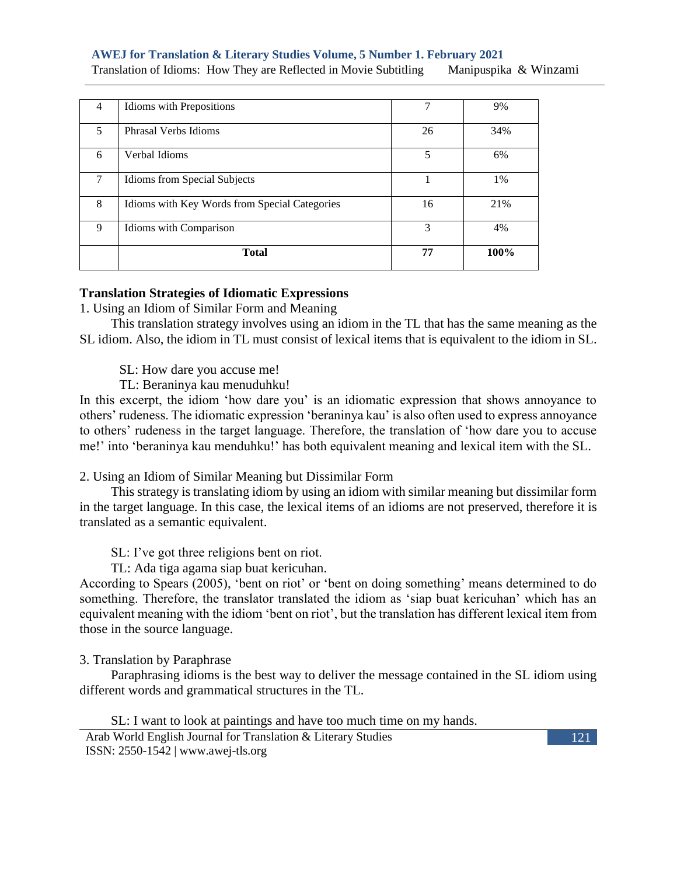## **AWEJ for Translation & Literary Studies Volume, 5 Number 1. February 2021**

Translation of Idioms: How They are Reflected in Movie Subtitling Manipuspika & Winzami

| 4           | Idioms with Prepositions                      |    | 9%   |
|-------------|-----------------------------------------------|----|------|
| 5           | Phrasal Verbs Idioms                          | 26 | 34%  |
| 6           | Verbal Idioms                                 | 5  | 6%   |
| 7           | Idioms from Special Subjects                  |    | 1%   |
| 8           | Idioms with Key Words from Special Categories | 16 | 21%  |
| $\mathbf Q$ | Idioms with Comparison                        | 3  | 4%   |
|             | <b>Total</b>                                  | 77 | 100% |

#### **Translation Strategies of Idiomatic Expressions**

1. Using an Idiom of Similar Form and Meaning

This translation strategy involves using an idiom in the TL that has the same meaning as the SL idiom. Also, the idiom in TL must consist of lexical items that is equivalent to the idiom in SL.

SL: How dare you accuse me!

TL: Beraninya kau menuduhku!

In this excerpt, the idiom 'how dare you' is an idiomatic expression that shows annoyance to others' rudeness. The idiomatic expression 'beraninya kau' is also often used to express annoyance to others' rudeness in the target language. Therefore, the translation of 'how dare you to accuse me!' into 'beraninya kau menduhku!' has both equivalent meaning and lexical item with the SL.

2. Using an Idiom of Similar Meaning but Dissimilar Form

This strategy is translating idiom by using an idiom with similar meaning but dissimilar form in the target language. In this case, the lexical items of an idioms are not preserved, therefore it is translated as a semantic equivalent.

SL: I've got three religions bent on riot.

TL: Ada tiga agama siap buat kericuhan.

According to Spears (2005), 'bent on riot' or 'bent on doing something' means determined to do something. Therefore, the translator translated the idiom as 'siap buat kericuhan' which has an equivalent meaning with the idiom 'bent on riot', but the translation has different lexical item from those in the source language.

#### 3. Translation by Paraphrase

Paraphrasing idioms is the best way to deliver the message contained in the SL idiom using different words and grammatical structures in the TL.

SL: I want to look at paintings and have too much time on my hands.

Arab World English Journal for Translation & Literary Studies ISSN: 2550-1542 | [www.awej-tls.org](http://www.awej-tls.org/)

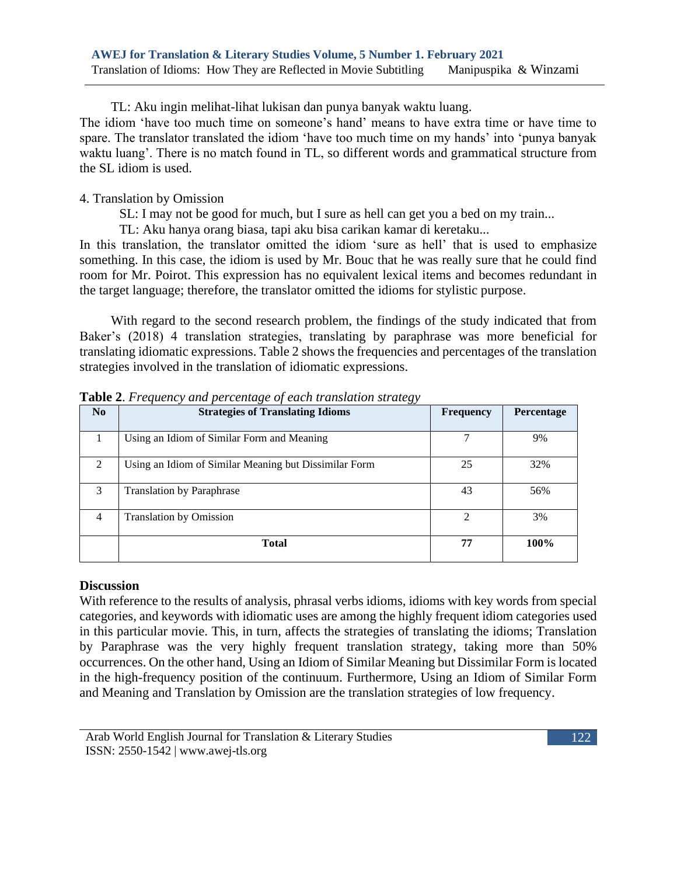TL: Aku ingin melihat-lihat lukisan dan punya banyak waktu luang.

The idiom 'have too much time on someone's hand' means to have extra time or have time to spare. The translator translated the idiom 'have too much time on my hands' into 'punya banyak waktu luang'. There is no match found in TL, so different words and grammatical structure from the SL idiom is used.

## 4. Translation by Omission

SL: I may not be good for much, but I sure as hell can get you a bed on my train...

TL: Aku hanya orang biasa, tapi aku bisa carikan kamar di keretaku...

In this translation, the translator omitted the idiom 'sure as hell' that is used to emphasize something. In this case, the idiom is used by Mr. Bouc that he was really sure that he could find room for Mr. Poirot. This expression has no equivalent lexical items and becomes redundant in the target language; therefore, the translator omitted the idioms for stylistic purpose.

With regard to the second research problem, the findings of the study indicated that from Baker's (2018) 4 translation strategies, translating by paraphrase was more beneficial for translating idiomatic expressions. Table 2 shows the frequencies and percentages of the translation strategies involved in the translation of idiomatic expressions.

| N <sub>0</sub> | <b>Strategies of Translating Idioms</b>               | <b>Frequency</b> | Percentage |
|----------------|-------------------------------------------------------|------------------|------------|
|                | Using an Idiom of Similar Form and Meaning            | 7                | 9%         |
| 2              | Using an Idiom of Similar Meaning but Dissimilar Form | 25               | 32%        |
| $\mathcal{E}$  | <b>Translation by Paraphrase</b>                      | 43               | 56%        |
| 4              | <b>Translation by Omission</b>                        | $\mathfrak{D}$   | 3%         |
|                | <b>Total</b>                                          | 77               | 100%       |

**Table 2**. *Frequency and percentage of each translation strategy*

## **Discussion**

With reference to the results of analysis, phrasal verbs idioms, idioms with key words from special categories, and keywords with idiomatic uses are among the highly frequent idiom categories used in this particular movie. This, in turn, affects the strategies of translating the idioms; Translation by Paraphrase was the very highly frequent translation strategy, taking more than 50% occurrences. On the other hand, Using an Idiom of Similar Meaning but Dissimilar Form is located in the high-frequency position of the continuum. Furthermore, Using an Idiom of Similar Form and Meaning and Translation by Omission are the translation strategies of low frequency.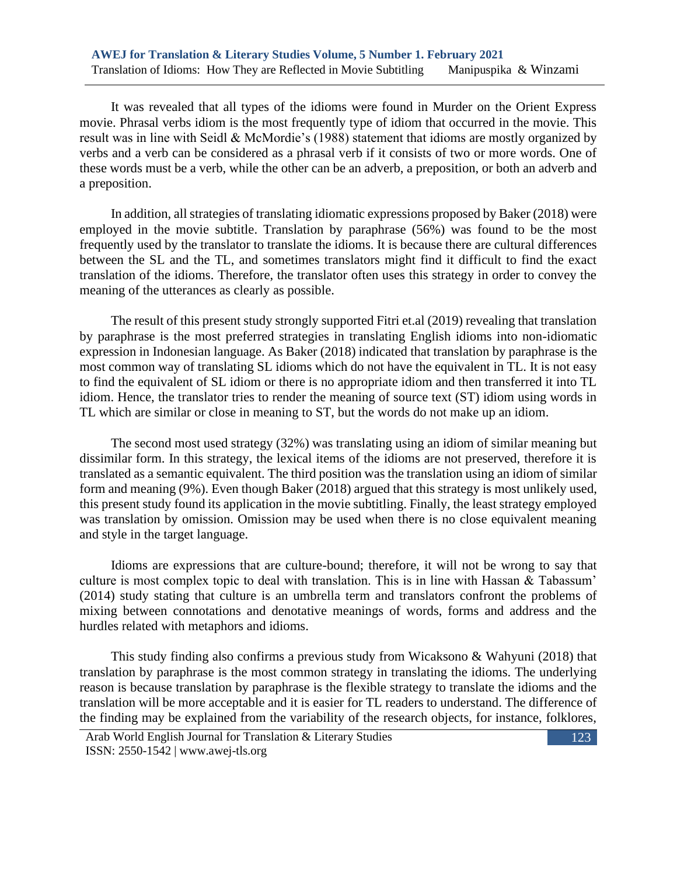It was revealed that all types of the idioms were found in Murder on the Orient Express movie. Phrasal verbs idiom is the most frequently type of idiom that occurred in the movie. This result was in line with Seidl & McMordie's (1988) statement that idioms are mostly organized by verbs and a verb can be considered as a phrasal verb if it consists of two or more words. One of these words must be a verb, while the other can be an adverb, a preposition, or both an adverb and a preposition.

In addition, all strategies of translating idiomatic expressions proposed by Baker (2018) were employed in the movie subtitle. Translation by paraphrase (56%) was found to be the most frequently used by the translator to translate the idioms. It is because there are cultural differences between the SL and the TL, and sometimes translators might find it difficult to find the exact translation of the idioms. Therefore, the translator often uses this strategy in order to convey the meaning of the utterances as clearly as possible.

The result of this present study strongly supported Fitri et.al (2019) revealing that translation by paraphrase is the most preferred strategies in translating English idioms into non-idiomatic expression in Indonesian language. As Baker (2018) indicated that translation by paraphrase is the most common way of translating SL idioms which do not have the equivalent in TL. It is not easy to find the equivalent of SL idiom or there is no appropriate idiom and then transferred it into TL idiom. Hence, the translator tries to render the meaning of source text (ST) idiom using words in TL which are similar or close in meaning to ST, but the words do not make up an idiom.

The second most used strategy (32%) was translating using an idiom of similar meaning but dissimilar form. In this strategy, the lexical items of the idioms are not preserved, therefore it is translated as a semantic equivalent. The third position was the translation using an idiom of similar form and meaning (9%). Even though Baker (2018) argued that this strategy is most unlikely used, this present study found its application in the movie subtitling. Finally, the least strategy employed was translation by omission. Omission may be used when there is no close equivalent meaning and style in the target language.

Idioms are expressions that are culture-bound; therefore, it will not be wrong to say that culture is most complex topic to deal with translation. This is in line with Hassan & Tabassum' (2014) study stating that culture is an umbrella term and translators confront the problems of mixing between connotations and denotative meanings of words, forms and address and the hurdles related with metaphors and idioms.

This study finding also confirms a previous study from Wicaksono & Wahyuni (2018) that translation by paraphrase is the most common strategy in translating the idioms. The underlying reason is because translation by paraphrase is the flexible strategy to translate the idioms and the translation will be more acceptable and it is easier for TL readers to understand. The difference of the finding may be explained from the variability of the research objects, for instance, folklores,

Arab World English Journal for Translation & Literary Studies ISSN: 2550-1542 | [www.awej-tls.org](http://www.awej-tls.org/)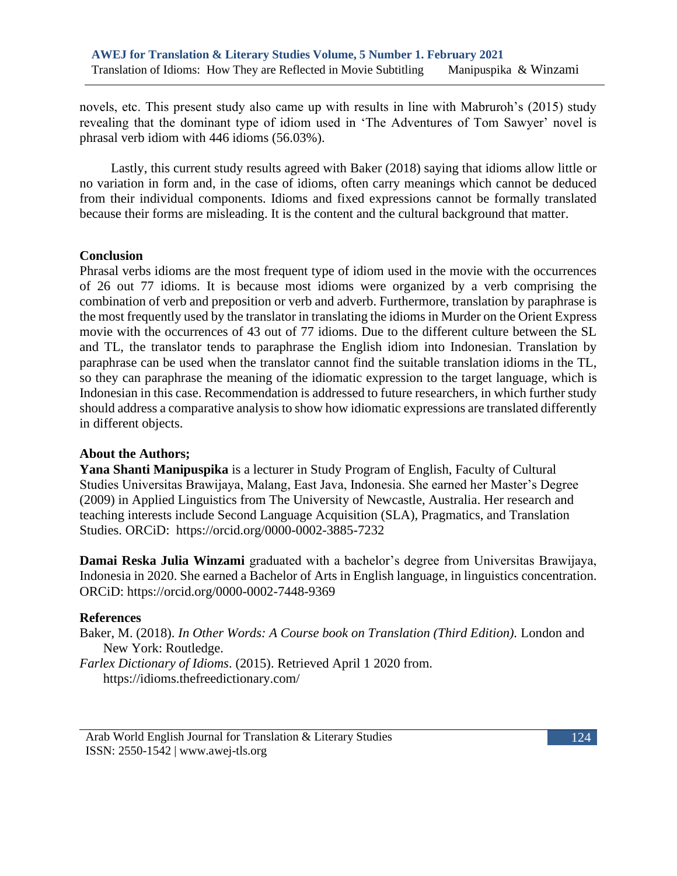novels, etc. This present study also came up with results in line with Mabruroh's (2015) study revealing that the dominant type of idiom used in 'The Adventures of Tom Sawyer' novel is phrasal verb idiom with 446 idioms (56.03%).

Lastly, this current study results agreed with Baker (2018) saying that idioms allow little or no variation in form and, in the case of idioms, often carry meanings which cannot be deduced from their individual components. Idioms and fixed expressions cannot be formally translated because their forms are misleading. It is the content and the cultural background that matter.

## **Conclusion**

Phrasal verbs idioms are the most frequent type of idiom used in the movie with the occurrences of 26 out 77 idioms. It is because most idioms were organized by a verb comprising the combination of verb and preposition or verb and adverb. Furthermore, translation by paraphrase is the most frequently used by the translator in translating the idioms in Murder on the Orient Express movie with the occurrences of 43 out of 77 idioms. Due to the different culture between the SL and TL, the translator tends to paraphrase the English idiom into Indonesian. Translation by paraphrase can be used when the translator cannot find the suitable translation idioms in the TL, so they can paraphrase the meaning of the idiomatic expression to the target language, which is Indonesian in this case. Recommendation is addressed to future researchers, in which further study should address a comparative analysis to show how idiomatic expressions are translated differently in different objects.

#### **About the Authors;**

**Yana Shanti Manipuspika** is a lecturer in Study Program of English, Faculty of Cultural Studies Universitas Brawijaya, Malang, East Java, Indonesia. She earned her Master's Degree (2009) in Applied Linguistics from The University of Newcastle, Australia. Her research and teaching interests include Second Language Acquisition (SLA), Pragmatics, and Translation Studies. ORCiD: https://orcid.org/0000-0002-3885-7232

**Damai Reska Julia Winzami** graduated with a bachelor's degree from Universitas Brawijaya, Indonesia in 2020. She earned a Bachelor of Arts in English language, in linguistics concentration. ORCiD: https://orcid.org/0000-0002-7448-9369

#### **References**

Baker, M. (2018). *In Other Words: A Course book on Translation (Third Edition).* London and New York: Routledge. *Farlex Dictionary of Idioms*. (2015). Retrieved April 1 2020 from. https://idioms.thefreedictionary.com/